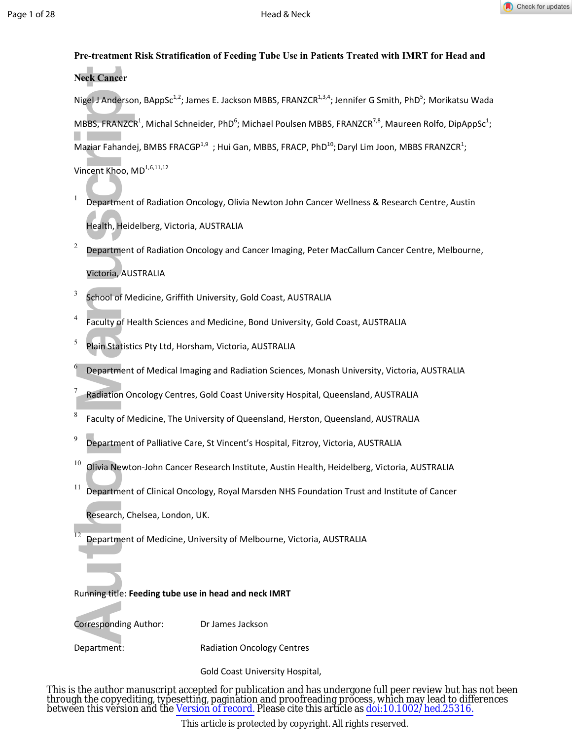

# **Pre-treatment Risk Stratification of Feeding Tube Use in Patients Treated with IMRT for Head and Neck Cancer**

Neck Cancer<br>
Nigel J Anderson,<br>
MBBS, FRANZCR<sup>1</sup>,<br>
Maziar Fahandej,<br>
Vincent Khoo, ML<br>
1<br>
Department of<br>
Health, Heidel<br>
2<br>
Department of<br>
Victoria, AUST<br>
5<br>
S Echool of Med<br>
Faculty of Hea<br>
Plain Statistics<br>
6<br>
Department Nigel J Anderson, BAppSc<sup>1,2</sup>; James E. Jackson MBBS, FRANZCR<sup>1,3,4</sup>; Jennifer G Smith, PhD<sup>5</sup>; Morikatsu Wada  $M$ BBS, FRANZCR<sup>1</sup>, Michal Schneider, PhD<sup>6</sup>; Michael Poulsen MBBS, FRANZCR<sup>7,8</sup>, Maureen Rolfo, DipAppSc<sup>1</sup>; Maziar Fahandej, BMBS FRACGP<sup>1,9</sup>; Hui Gan, MBBS, FRACP, PhD<sup>10</sup>; Daryl Lim Joon, MBBS FRANZCR<sup>1</sup>; Vincent Khoo, MD<sup>1,6,11,12</sup>

- 1 Department of Radiation Oncology, Olivia Newton John Cancer Wellness & Research Centre, Austin Health, Heidelberg, Victoria, AUSTRALIA
- 2 Department of Radiation Oncology and Cancer Imaging, Peter MacCallum Cancer Centre, Melbourne, Victoria, AUSTRALIA
- 3 School of Medicine, Griffith University, Gold Coast, AUSTRALIA
- 4 Faculty of Health Sciences and Medicine, Bond University, Gold Coast, AUSTRALIA
- 5 Plain Statistics Pty Ltd, Horsham, Victoria, AUSTRALIA

Department of Medical Imaging and Radiation Sciences, Monash University, Victoria, AUSTRALIA

- 7 Radiation Oncology Centres, Gold Coast University Hospital, Queensland, AUSTRALIA
- 8 Faculty of Medicine, The University of Queensland, Herston, Queensland, AUSTRALIA
- 9 Department of Palliative Care, St Vincent's Hospital, Fitzroy, Victoria, AUSTRALIA
- $^{10}$  Olivia Newton-John Cancer Research Institute, Austin Health, Heidelberg, Victoria, AUSTRALIA
- $11$  Department of Clinical Oncology, Royal Marsden NHS Foundation Trust and Institute of Cancer Research, Chelsea, London, UK.
- <sup>12</sup> Department of Medicine, University of Melbourne, Victoria, AUSTRALIA

# Running title: **Feeding tube use in head and neck IMRT**

Corresponding Author: Dr James Jackson

6

Department: Radiation Oncology Centres

Gold Coast University Hospital,

This is the author manuscript accepted for publication and has undergone full peer review but has not been through the copyediting, typesetting, pagination and proofreading process, which may lead to differences between this version and the [Version of record.](http://dx.doi.org/10.1002/hed.25316) Please cite this article as [doi:10.1002/hed.25316.](http://dx.doi.org/10.1002/hed.25316)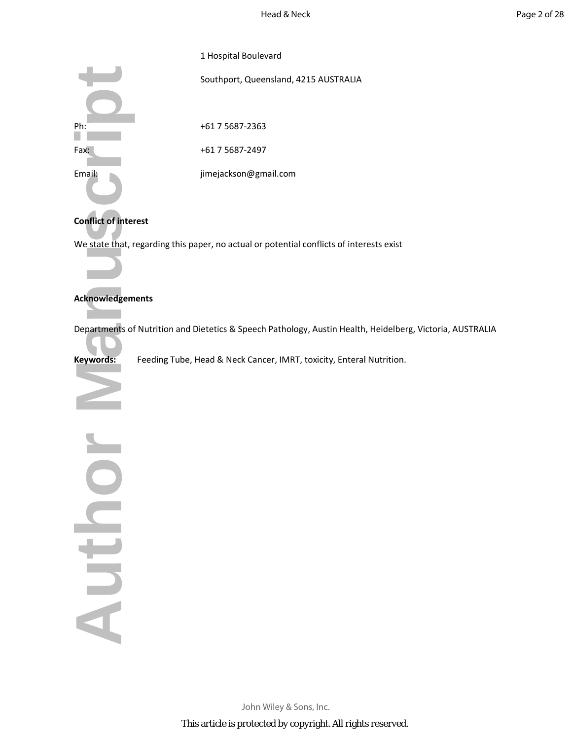|        | 1 Hospital Boulevard                  |
|--------|---------------------------------------|
|        | Southport, Queensland, 4215 AUSTRALIA |
|        |                                       |
| Ph:    | +61 7 5687-2363                       |
| Fax:   | +61 7 5687-2497                       |
| Email: | jimejackson@gmail.com                 |

# **Conflict of interest**

We state that, regarding this paper, no actual or potential conflicts of interests exist

# **Acknowledgements**

Departments of Nutrition and Dietetics & Speech Pathology, Austin Health, Heidelberg, Victoria, AUSTRALIA

**Keywords:** Feeding Tube, Head & Neck Cancer, IMRT, toxicity, Enteral Nutrition.

Ph:<br>
Fax:<br>
Email:<br>
Conflict of interes<br>
We state that, reg<br>
Acknowledgemer<br>
Departments of N<br>
Keywords:<br>
Fax:<br>
Acknowledgemer<br>
Departments of N North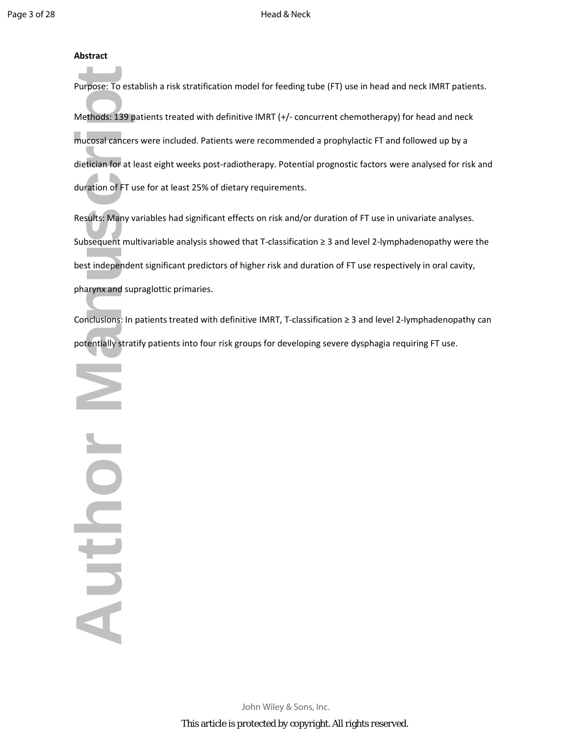# **Abstract**

Purpose: To establish a risk stratification model for feeding tube (FT) use in head and neck IMRT patients. Methods: 139 patients treated with definitive IMRT (+/- concurrent chemotherapy) for head and neck mucosal cancers were included. Patients were recommended a prophylactic FT and followed up by a dietician for at least eight weeks post-radiotherapy. Potential prognostic factors were analysed for risk and duration of FT use for at least 25% of dietary requirements.

Results: Many variables had significant effects on risk and/or duration of FT use in univariate analyses. Subsequent multivariable analysis showed that T-classification ≥ 3 and level 2-lymphadenopathy were the best independent significant predictors of higher risk and duration of FT use respectively in oral cavity, pharynx and supraglottic primaries.

Conclusions: In patients treated with definitive IMRT, T-classification ≥ 3 and level 2-lymphadenopathy can potentially stratify patients into four risk groups for developing severe dysphagia requiring FT use.

Purpose: To estable<br>Methods: 139 pat<br>mucosal cancers \firstnames and direction of FT use<br>Results: Many var<br>Subsequent multi<br>best independent<br>pharynx and supra<br>Conclusions: In pa<br>potentially stratificants Nouthor

> John Wiley & Sons, Inc. This article is protected by copyright. All rights reserved.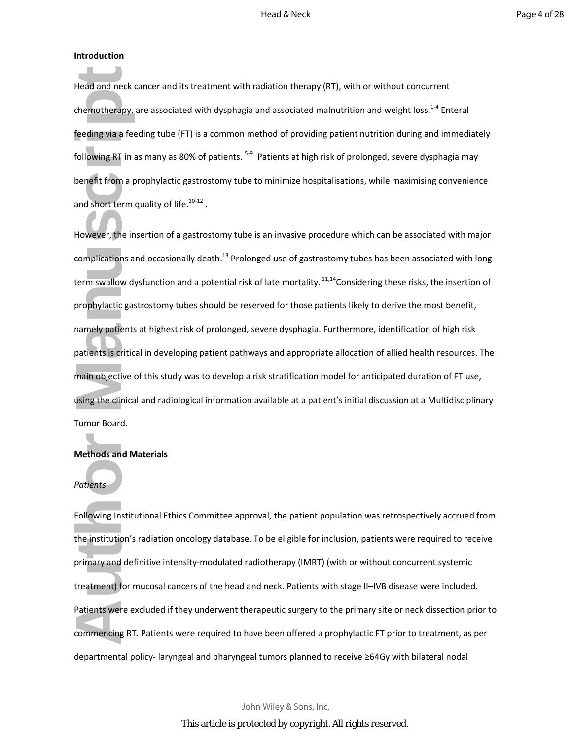## **Introduction**

Head and neck cancer and its treatment with radiation therapy (RT), with or without concurrent chemotherapy, are associated with dysphagia and associated malnutrition and weight loss.<sup>1-4</sup> Enteral feeding via a feeding tube (FT) is a common method of providing patient nutrition during and immediately following RT in as many as 80% of patients. <sup>5-9</sup> Patients at high risk of prolonged, severe dysphagia may benefit from a prophylactic gastrostomy tube to minimize hospitalisations, while maximising convenience and short term quality of life. $10-12$ .

Head and neck ca<br>chemotherapy, ar<br>feeding via a feed<br>following RT in as<br>benefit from a pro<br>and short term qu<br>However, the inse<br>complications and<br>term swallow dys<br>prophylactic gastr<br>namely patients a<br>patients is critical<br>ma However, the insertion of a gastrostomy tube is an invasive procedure which can be associated with major complications and occasionally death.<sup>13</sup> Prolonged use of gastrostomy tubes has been associated with longterm swallow dysfunction and a potential risk of late mortality.<sup>11,14</sup>Considering these risks, the insertion of prophylactic gastrostomy tubes should be reserved for those patients likely to derive the most benefit, namely patients at highest risk of prolonged, severe dysphagia. Furthermore, identification of high risk patients is critical in developing patient pathways and appropriate allocation of allied health resources. The main objective of this study was to develop a risk stratification model for anticipated duration of FT use, using the clinical and radiological information available at a patient's initial discussion at a Multidisciplinary Tumor Board.

## **Methods and Materials**

## *Patients*

Following Institutional Ethics Committee approval, the patient population was retrospectively accrued from the institution's radiation oncology database. To be eligible for inclusion, patients were required to receive primary and definitive intensity-modulated radiotherapy (IMRT) (with or without concurrent systemic treatment) for mucosal cancers of the head and neck. Patients with stage II–IVB disease were included. Patients were excluded if they underwent therapeutic surgery to the primary site or neck dissection prior to commencing RT. Patients were required to have been offered a prophylactic FT prior to treatment, as per departmental policy- laryngeal and pharyngeal tumors planned to receive ≥64Gy with bilateral nodal

John Wiley & Sons, Inc.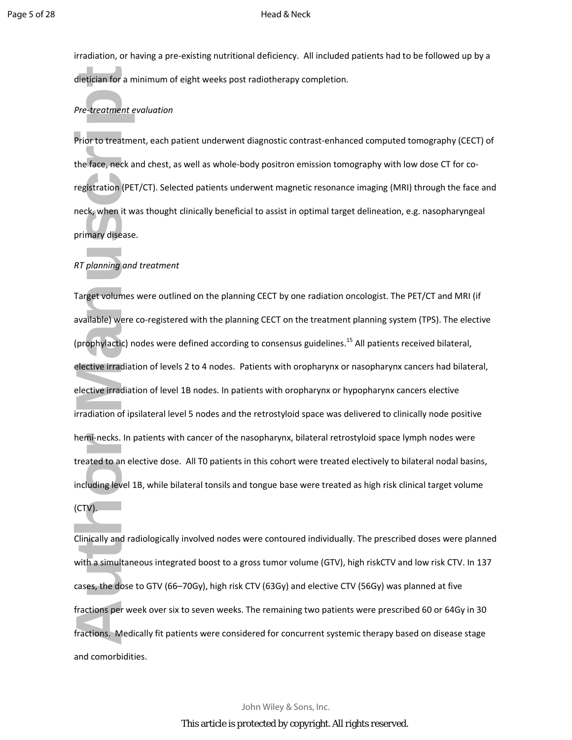irradiation, or having a pre-existing nutritional deficiency. All included patients had to be followed up by a dietician for a minimum of eight weeks post radiotherapy completion.

## *Pre-treatment evaluation*

Prior to treatment, each patient underwent diagnostic contrast-enhanced computed tomography (CECT) of the face, neck and chest, as well as whole-body positron emission tomography with low dose CT for coregistration (PET/CT). Selected patients underwent magnetic resonance imaging (MRI) through the face and neck, when it was thought clinically beneficial to assist in optimal target delineation, e.g. nasopharyngeal primary disease.

## *RT planning and treatment*

dietician for a mir<br>
Pre-treatment eve<br>
Prior to treatmen<br>
the face, neck and<br>
registration (PET/<br>
neck, when it was<br>
primary disease.<br>
RT planning and t<br>
Target volumes w<br>
available) were co<br>
(prophylactic) nod<br>
elective Target volumes were outlined on the planning CECT by one radiation oncologist. The PET/CT and MRI (if available) were co-registered with the planning CECT on the treatment planning system (TPS). The elective (prophylactic) nodes were defined according to consensus guidelines.<sup>15</sup> All patients received bilateral, elective irradiation of levels 2 to 4 nodes. Patients with oropharynx or nasopharynx cancers had bilateral, elective irradiation of level 1B nodes. In patients with oropharynx or hypopharynx cancers elective irradiation of ipsilateral level 5 nodes and the retrostyloid space was delivered to clinically node positive hemi-necks. In patients with cancer of the nasopharynx, bilateral retrostyloid space lymph nodes were treated to an elective dose. All T0 patients in this cohort were treated electively to bilateral nodal basins, including level 1B, while bilateral tonsils and tongue base were treated as high risk clinical target volume

(CTV).

Clinically and radiologically involved nodes were contoured individually. The prescribed doses were planned with a simultaneous integrated boost to a gross tumor volume (GTV), high riskCTV and low risk CTV. In 137 cases, the dose to GTV (66–70Gy), high risk CTV (63Gy) and elective CTV (56Gy) was planned at five fractions per week over six to seven weeks. The remaining two patients were prescribed 60 or 64Gy in 30 fractions. Medically fit patients were considered for concurrent systemic therapy based on disease stage and comorbidities.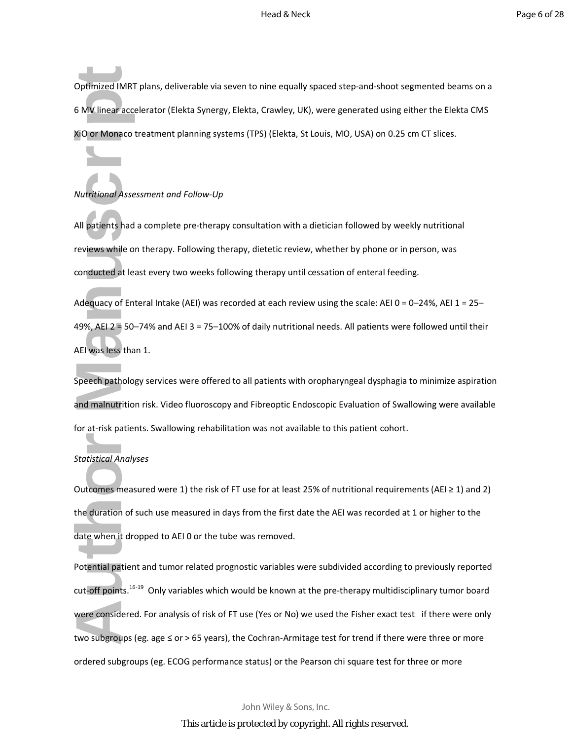Optimized IMRT plans, deliverable via seven to nine equally spaced step-and-shoot segmented beams on a 6 MV linear accelerator (Elekta Synergy, Elekta, Crawley, UK), were generated using either the Elekta CMS XiO or Monaco treatment planning systems (TPS) (Elekta, St Louis, MO, USA) on 0.25 cm CT slices.

### *Nutritional Assessment and Follow-Up*

All patients had a complete pre-therapy consultation with a dietician followed by weekly nutritional reviews while on therapy. Following therapy, dietetic review, whether by phone or in person, was conducted at least every two weeks following therapy until cessation of enteral feeding.

Adequacy of Enteral Intake (AEI) was recorded at each review using the scale: AEI 0 = 0–24%, AEI 1 = 25– 49%, AEI 2 = 50–74% and AEI 3 = 75–100% of daily nutritional needs. All patients were followed until their AEI was less than 1.

Speech pathology services were offered to all patients with oropharyngeal dysphagia to minimize aspiration and malnutrition risk. Video fluoroscopy and Fibreoptic Endoscopic Evaluation of Swallowing were available for at-risk patients. Swallowing rehabilitation was not available to this patient cohort.

### *Statistical Analyses*

Outcomes measured were 1) the risk of FT use for at least 25% of nutritional requirements (AEI  $\geq$  1) and 2) the duration of such use measured in days from the first date the AEI was recorded at 1 or higher to the date when it dropped to AEI 0 or the tube was removed.

Optimized IMRT p<br>6 MV linear accele<br>XiO or Monaco tre<br>XiO or Monaco tre<br>Mutritional Assess<br>All patients had a<br>reviews while on<br>conducted at leas<br>Adequacy of Ente<br>49%, AEI 2 = 50-7<br>AEI was less than<br>Speech pathology<br>and mal Potential patient and tumor related prognostic variables were subdivided according to previously reported cut-off points.<sup>16-19</sup> Only variables which would be known at the pre-therapy multidisciplinary tumor board were considered. For analysis of risk of FT use (Yes or No) we used the Fisher exact test if there were only two subgroups (eg. age ≤ or > 65 years), the Cochran-Armitage test for trend if there were three or more ordered subgroups (eg. ECOG performance status) or the Pearson chi square test for three or more

John Wiley & Sons, Inc.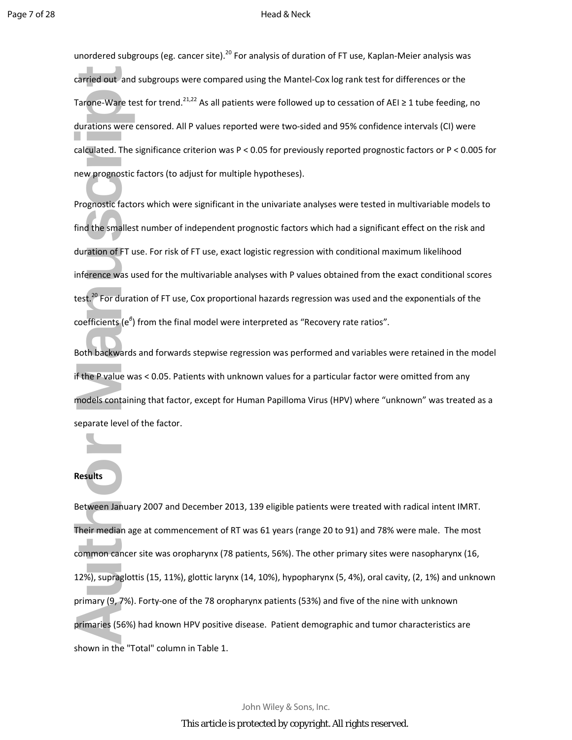unordered subgroups (eg. cancer site).<sup>20</sup> For analysis of duration of FT use, Kaplan-Meier analysis was carried out and subgroups were compared using the Mantel-Cox log rank test for differences or the Tarone-Ware test for trend.<sup>21,22</sup> As all patients were followed up to cessation of AEI  $\geq$  1 tube feeding, no durations were censored. All P values reported were two-sided and 95% confidence intervals (CI) were calculated. The significance criterion was P < 0.05 for previously reported prognostic factors or P < 0.005 for new prognostic factors (to adjust for multiple hypotheses).

Prognostic factors which were significant in the univariate analyses were tested in multivariable models to find the smallest number of independent prognostic factors which had a significant effect on the risk and duration of FT use. For risk of FT use, exact logistic regression with conditional maximum likelihood inference was used for the multivariable analyses with P values obtained from the exact conditional scores test.<sup>20</sup> For duration of FT use, Cox proportional hazards regression was used and the exponentials of the coefficients (e<sup>β</sup>) from the final model were interpreted as "Recovery rate ratios".

Both backwards and forwards stepwise regression was performed and variables were retained in the model if the P value was < 0.05. Patients with unknown values for a particular factor were omitted from any models containing that factor, except for Human Papilloma Virus (HPV) where "unknown" was treated as a separate level of the factor.

# **Results**

carried out and s<br>
Tarone-Ware test<br>
durations were ce<br>
calculated. The signew prognostic fa<br>
Prognostic factors<br>
find the smallest r<br>
duration of FT use<br>
inference was use<br>
test.<sup>20</sup> For duratio<br>
coefficients (e<sup>6</sup>) fr<br>
B Between January 2007 and December 2013, 139 eligible patients were treated with radical intent IMRT. Their median age at commencement of RT was 61 years (range 20 to 91) and 78% were male. The most common cancer site was oropharynx (78 patients, 56%). The other primary sites were nasopharynx (16, 12%), supraglottis (15, 11%), glottic larynx (14, 10%), hypopharynx (5, 4%), oral cavity, (2, 1%) and unknown primary (9, 7%). Forty-one of the 78 oropharynx patients (53%) and five of the nine with unknown primaries (56%) had known HPV positive disease. Patient demographic and tumor characteristics are shown in the "Total" column in Table 1.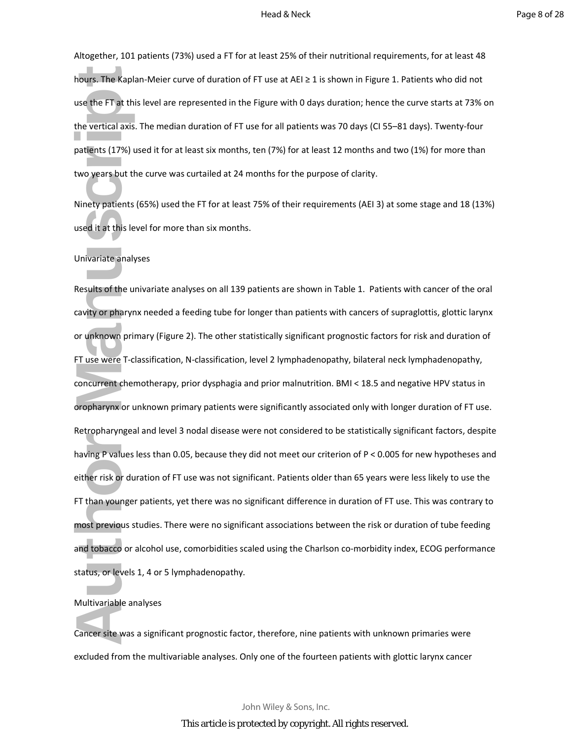Altogether, 101 patients (73%) used a FT for at least 25% of their nutritional requirements, for at least 48 hours. The Kaplan-Meier curve of duration of FT use at AEI ≥ 1 is shown in Figure 1. Patients who did not use the FT at this level are represented in the Figure with 0 days duration; hence the curve starts at 73% on the vertical axis. The median duration of FT use for all patients was 70 days (CI 55–81 days). Twenty-four patients (17%) used it for at least six months, ten (7%) for at least 12 months and two (1%) for more than two years but the curve was curtailed at 24 months for the purpose of clarity.

Ninety patients (65%) used the FT for at least 75% of their requirements (AEI 3) at some stage and 18 (13%) used it at this level for more than six months.

#### Univariate analyses

hours. The Kaplan<br>use the FT at this<br>the vertical axis. T<br>patients (17%) use<br>two years but the<br>Ninety patients (6<br>used it at this leve<br>Univariate analyse<br>Results of the uni<br>cavity or pharynx<br>or unknown prim:<br>FT use were T-Results of the univariate analyses on all 139 patients are shown in Table 1. Patients with cancer of the oral cavity or pharynx needed a feeding tube for longer than patients with cancers of supraglottis, glottic larynx or unknown primary (Figure 2). The other statistically significant prognostic factors for risk and duration of FT use were T-classification, N-classification, level 2 lymphadenopathy, bilateral neck lymphadenopathy, concurrent chemotherapy, prior dysphagia and prior malnutrition. BMI < 18.5 and negative HPV status in oropharynx or unknown primary patients were significantly associated only with longer duration of FT use. Retropharyngeal and level 3 nodal disease were not considered to be statistically significant factors, despite having P values less than 0.05, because they did not meet our criterion of P < 0.005 for new hypotheses and either risk or duration of FT use was not significant. Patients older than 65 years were less likely to use the FT than younger patients, yet there was no significant difference in duration of FT use. This was contrary to most previous studies. There were no significant associations between the risk or duration of tube feeding and tobacco or alcohol use, comorbidities scaled using the Charlson co-morbidity index, ECOG performance status, or levels 1, 4 or 5 lymphadenopathy.

#### Multivariable analyses

Cancer site was a significant prognostic factor, therefore, nine patients with unknown primaries were excluded from the multivariable analyses. Only one of the fourteen patients with glottic larynx cancer

> John Wiley & Sons, Inc. This article is protected by copyright. All rights reserved.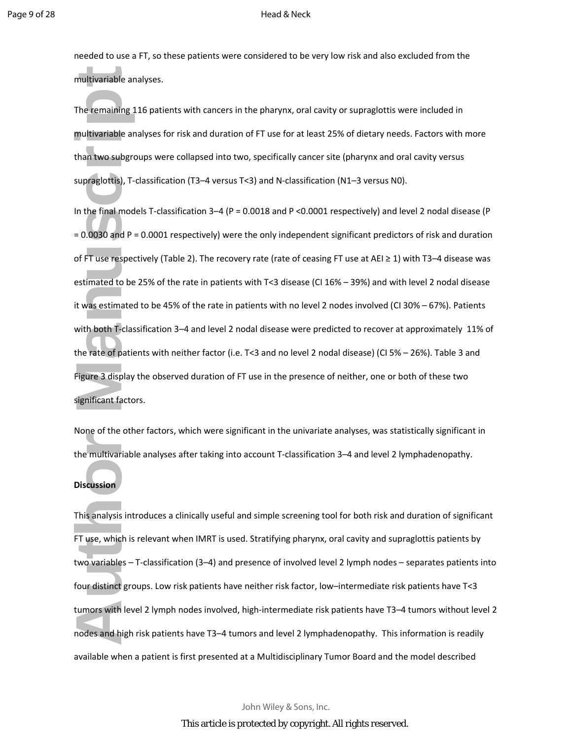needed to use a FT, so these patients were considered to be very low risk and also excluded from the multivariable analyses.

The remaining 116 patients with cancers in the pharynx, oral cavity or supraglottis were included in multivariable analyses for risk and duration of FT use for at least 25% of dietary needs. Factors with more than two subgroups were collapsed into two, specifically cancer site (pharynx and oral cavity versus supraglottis), T-classification (T3–4 versus T<3) and N-classification (N1–3 versus N0).

multivariable ana<br>
The remaining 11<br>
multivariable ana<br>
than two subgrou<br>
supraglottis), T-cla<br>
In the final model<br>
= 0.0030 and P = (<br>
of FT use respecti<br>
estimated to be 2<br>
it was estimated to be 2<br>
it was estimated to w In the final models T-classification 3–4 (P = 0.0018 and P <0.0001 respectively) and level 2 nodal disease (P = 0.0030 and P = 0.0001 respectively) were the only independent significant predictors of risk and duration of FT use respectively (Table 2). The recovery rate (rate of ceasing FT use at AEI ≥ 1) with T3–4 disease was estimated to be 25% of the rate in patients with T<3 disease (CI 16% – 39%) and with level 2 nodal disease it was estimated to be 45% of the rate in patients with no level 2 nodes involved (CI 30% – 67%). Patients with both T-classification 3–4 and level 2 nodal disease were predicted to recover at approximately 11% of the rate of patients with neither factor (i.e. T<3 and no level 2 nodal disease) (CI 5% – 26%). Table 3 and Figure 3 display the observed duration of FT use in the presence of neither, one or both of these two significant factors.

None of the other factors, which were significant in the univariate analyses, was statistically significant in the multivariable analyses after taking into account T-classification 3–4 and level 2 lymphadenopathy.

## **Discussion**

This analysis introduces a clinically useful and simple screening tool for both risk and duration of significant FT use, which is relevant when IMRT is used. Stratifying pharynx, oral cavity and supraglottis patients by two variables – T-classification (3–4) and presence of involved level 2 lymph nodes – separates patients into four distinct groups. Low risk patients have neither risk factor, low–intermediate risk patients have T<3 tumors with level 2 lymph nodes involved, high-intermediate risk patients have T3–4 tumors without level 2 nodes and high risk patients have T3–4 tumors and level 2 lymphadenopathy. This information is readily available when a patient is first presented at a Multidisciplinary Tumor Board and the model described

John Wiley & Sons, Inc.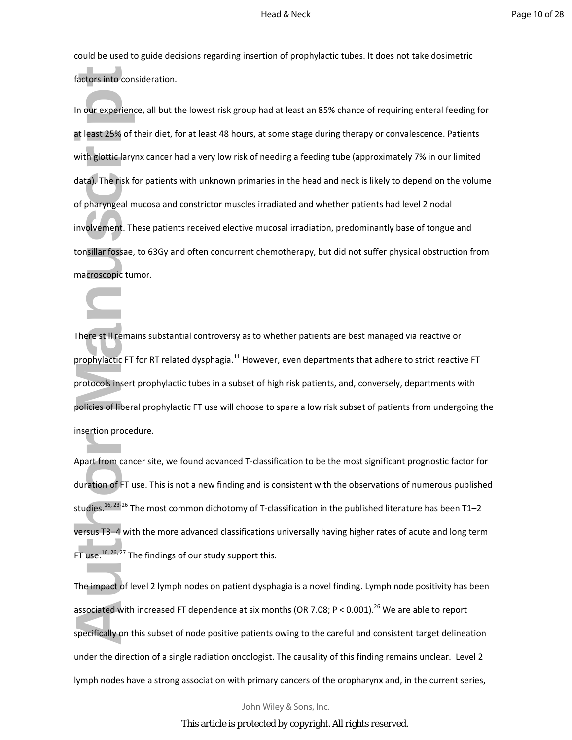could be used to guide decisions regarding insertion of prophylactic tubes. It does not take dosimetric factors into consideration.

factors into consident and the same of the with glottic larynx<br>
data). The risk for<br>
of pharyngeal mu<br>
involvement. The<br>
tonsillar fossae, to<br>
macroscopic tume<br>
macroscopic tume<br>
There still remain<br>
prophylactic FT fo<br>
pro In our experience, all but the lowest risk group had at least an 85% chance of requiring enteral feeding for at least 25% of their diet, for at least 48 hours, at some stage during therapy or convalescence. Patients with glottic larynx cancer had a very low risk of needing a feeding tube (approximately 7% in our limited data). The risk for patients with unknown primaries in the head and neck is likely to depend on the volume of pharyngeal mucosa and constrictor muscles irradiated and whether patients had level 2 nodal involvement. These patients received elective mucosal irradiation, predominantly base of tongue and tonsillar fossae, to 63Gy and often concurrent chemotherapy, but did not suffer physical obstruction from macroscopic tumor.

There still remains substantial controversy as to whether patients are best managed via reactive or prophylactic FT for RT related dysphagia.<sup>11</sup> However, even departments that adhere to strict reactive FT protocols insert prophylactic tubes in a subset of high risk patients, and, conversely, departments with policies of liberal prophylactic FT use will choose to spare a low risk subset of patients from undergoing the insertion procedure.

Apart from cancer site, we found advanced T-classification to be the most significant prognostic factor for duration of FT use. This is not a new finding and is consistent with the observations of numerous published studies.<sup>16, 23-26</sup> The most common dichotomy of T-classification in the published literature has been T1–2 versus T3–4 with the more advanced classifications universally having higher rates of acute and long term FT use.<sup>16, 26, 27</sup> The findings of our study support this.

The impact of level 2 lymph nodes on patient dysphagia is a novel finding. Lymph node positivity has been associated with increased FT dependence at six months (OR 7.08; P < 0.001).<sup>26</sup> We are able to report specifically on this subset of node positive patients owing to the careful and consistent target delineation under the direction of a single radiation oncologist. The causality of this finding remains unclear. Level 2 lymph nodes have a strong association with primary cancers of the oropharynx and, in the current series,

John Wiley & Sons, Inc.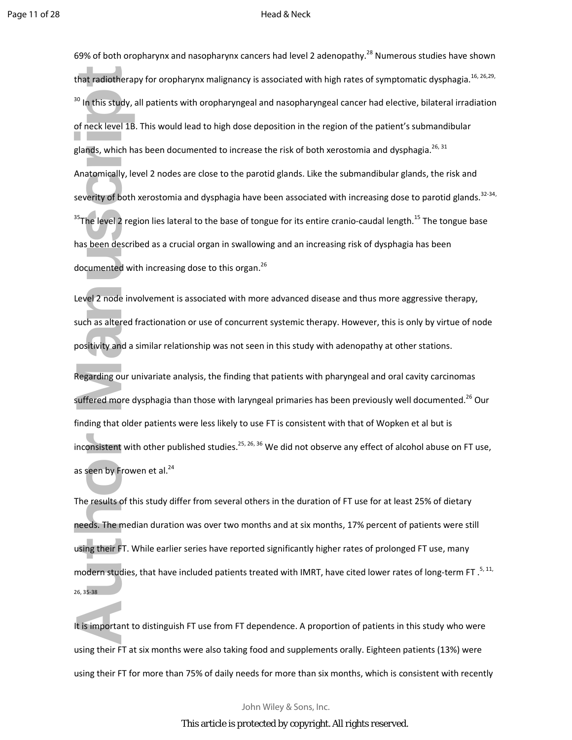that radiotherapy<br>
<sup>30</sup> In this study, all<br>
of neck level 1B. 1<br>
glands, which has<br>
Anatomically, leve<br>
severity of both x<br>
<sup>35</sup>The level 2 regic<br>
has been describe<br>
documented with<br>
Level 2 node invo<br>
such as altered fra<br> 69% of both oropharynx and nasopharynx cancers had level 2 adenopathy.<sup>28</sup> Numerous studies have shown that radiotherapy for oropharynx malignancy is associated with high rates of symptomatic dysphagia.<sup>16, 26,29,</sup> <sup>30</sup> In this study, all patients with oropharyngeal and nasopharyngeal cancer had elective, bilateral irradiation of neck level 1B. This would lead to high dose deposition in the region of the patient's submandibular glands, which has been documented to increase the risk of both xerostomia and dysphagia.<sup>26, 31</sup> Anatomically, level 2 nodes are close to the parotid glands. Like the submandibular glands, the risk and severity of both xerostomia and dysphagia have been associated with increasing dose to parotid glands.<sup>32-34,</sup>  $35$ The level 2 region lies lateral to the base of tongue for its entire cranio-caudal length.<sup>15</sup> The tongue base has been described as a crucial organ in swallowing and an increasing risk of dysphagia has been documented with increasing dose to this organ.<sup>26</sup>

Level 2 node involvement is associated with more advanced disease and thus more aggressive therapy, such as altered fractionation or use of concurrent systemic therapy. However, this is only by virtue of node positivity and a similar relationship was not seen in this study with adenopathy at other stations.

Regarding our univariate analysis, the finding that patients with pharyngeal and oral cavity carcinomas suffered more dysphagia than those with laryngeal primaries has been previously well documented.<sup>26</sup> Our finding that older patients were less likely to use FT is consistent with that of Wopken et al but is inconsistent with other published studies.<sup>25, 26, 36</sup> We did not observe any effect of alcohol abuse on FT use, as seen by Frowen et al. $^{24}$ 

The results of this study differ from several others in the duration of FT use for at least 25% of dietary needs. The median duration was over two months and at six months, 17% percent of patients were still using their FT. While earlier series have reported significantly higher rates of prolonged FT use, many modern studies, that have included patients treated with IMRT, have cited lower rates of long-term FT.  $5,11$ , 26, 35-38

It is important to distinguish FT use from FT dependence. A proportion of patients in this study who were using their FT at six months were also taking food and supplements orally. Eighteen patients (13%) were using their FT for more than 75% of daily needs for more than six months, which is consistent with recently

John Wiley & Sons, Inc.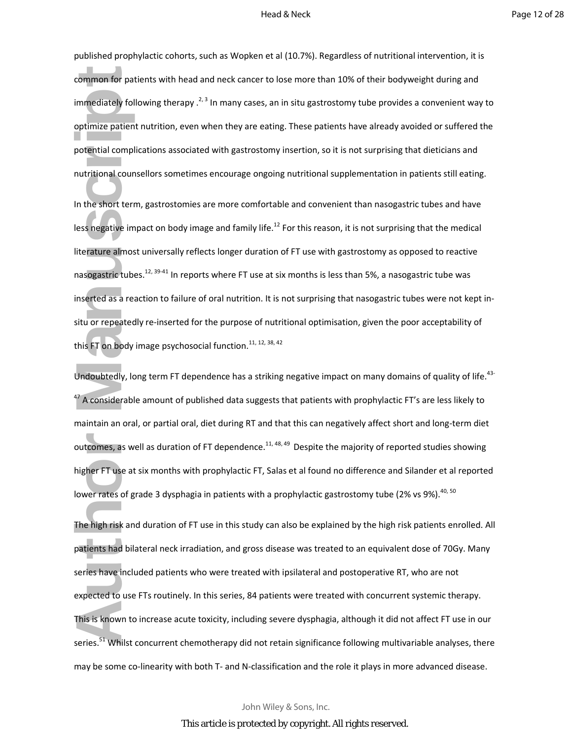published prophylactic cohorts, such as Wopken et al (10.7%). Regardless of nutritional intervention, it is common for patients with head and neck cancer to lose more than 10% of their bodyweight during and immediately following therapy  $.2, 3$  In many cases, an in situ gastrostomy tube provides a convenient way to optimize patient nutrition, even when they are eating. These patients have already avoided or suffered the potential complications associated with gastrostomy insertion, so it is not surprising that dieticians and nutritional counsellors sometimes encourage ongoing nutritional supplementation in patients still eating.

common for patie<br>
immediately follo<br>
optimize patient r<br>
potential complic<br>
nutritional counse<br>
In the short term,<br>
less negative impare<br>
literature almost<br>
inserted as a reac<br>
situ or repeatedly<br>
this FT on body in<br>
Undou In the short term, gastrostomies are more comfortable and convenient than nasogastric tubes and have less negative impact on body image and family life.<sup>12</sup> For this reason, it is not surprising that the medical literature almost universally reflects longer duration of FT use with gastrostomy as opposed to reactive nasogastric tubes.<sup>12, 39-41</sup> In reports where FT use at six months is less than 5%, a nasogastric tube was inserted as a reaction to failure of oral nutrition. It is not surprising that nasogastric tubes were not kept insitu or repeatedly re-inserted for the purpose of nutritional optimisation, given the poor acceptability of this FT on body image psychosocial function.<sup>11, 12, 38, 42</sup>

Undoubtedly, long term FT dependence has a striking negative impact on many domains of quality of life.<sup>43-</sup>  $^{47}$  A considerable amount of published data suggests that patients with prophylactic FT's are less likely to maintain an oral, or partial oral, diet during RT and that this can negatively affect short and long-term diet outcomes, as well as duration of FT dependence.<sup>11, 48, 49</sup> Despite the majority of reported studies showing higher FT use at six months with prophylactic FT, Salas et al found no difference and Silander et al reported lower rates of grade 3 dysphagia in patients with a prophylactic gastrostomy tube (2% vs 9%).  $40,50$ 

The high risk and duration of FT use in this study can also be explained by the high risk patients enrolled. All patients had bilateral neck irradiation, and gross disease was treated to an equivalent dose of 70Gy. Many series have included patients who were treated with ipsilateral and postoperative RT, who are not expected to use FTs routinely. In this series, 84 patients were treated with concurrent systemic therapy. This is known to increase acute toxicity, including severe dysphagia, although it did not affect FT use in our series.<sup>51</sup> Whilst concurrent chemotherapy did not retain significance following multivariable analyses, there may be some co-linearity with both T- and N-classification and the role it plays in more advanced disease.

John Wiley & Sons, Inc.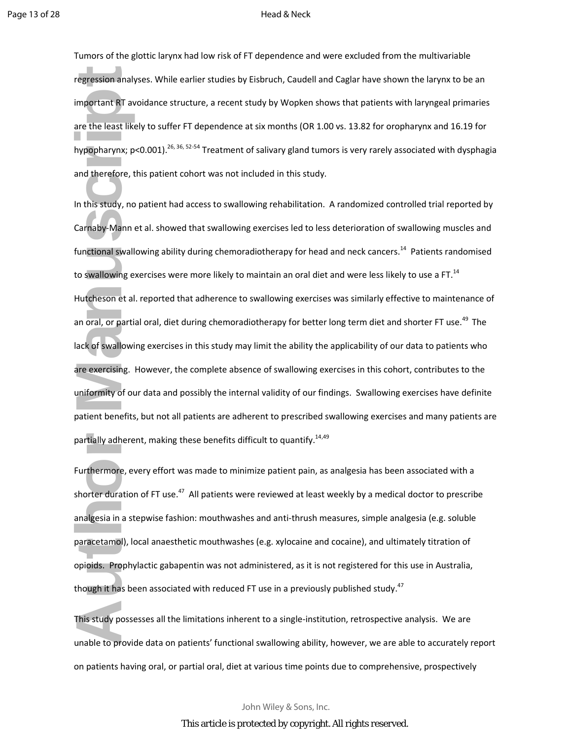Tumors of the glottic larynx had low risk of FT dependence and were excluded from the multivariable regression analyses. While earlier studies by Eisbruch, Caudell and Caglar have shown the larynx to be an important RT avoidance structure, a recent study by Wopken shows that patients with laryngeal primaries are the least likely to suffer FT dependence at six months (OR 1.00 vs. 13.82 for oropharynx and 16.19 for hypopharynx; p<0.001).<sup>26, 36, 52-54</sup> Treatment of salivary gland tumors is very rarely associated with dysphagia and therefore, this patient cohort was not included in this study.

regression analyso<br>
important RT avoi<br>
are the least likely<br>
hypopharynx; p<C<br>
and therefore, thi<br>
In this study, no p<br>
Carnaby-Mann et<br>
functional swallow<br>
to swallowing exe<br>
Hutcheson et al. r<br>
an oral, or partial<br>
lack In this study, no patient had access to swallowing rehabilitation. A randomized controlled trial reported by Carnaby-Mann et al. showed that swallowing exercises led to less deterioration of swallowing muscles and functional swallowing ability during chemoradiotherapy for head and neck cancers.<sup>14</sup> Patients randomised to swallowing exercises were more likely to maintain an oral diet and were less likely to use a FT.<sup>14</sup> Hutcheson et al. reported that adherence to swallowing exercises was similarly effective to maintenance of an oral, or partial oral, diet during chemoradiotherapy for better long term diet and shorter FT use.<sup>49</sup> The lack of swallowing exercises in this study may limit the ability the applicability of our data to patients who are exercising. However, the complete absence of swallowing exercises in this cohort, contributes to the uniformity of our data and possibly the internal validity of our findings. Swallowing exercises have definite patient benefits, but not all patients are adherent to prescribed swallowing exercises and many patients are partially adherent, making these benefits difficult to quantify.<sup>14,49</sup>

Furthermore, every effort was made to minimize patient pain, as analgesia has been associated with a shorter duration of FT use.<sup>47</sup> All patients were reviewed at least weekly by a medical doctor to prescribe analgesia in a stepwise fashion: mouthwashes and anti-thrush measures, simple analgesia (e.g. soluble paracetamol), local anaesthetic mouthwashes (e.g. xylocaine and cocaine), and ultimately titration of opioids. Prophylactic gabapentin was not administered, as it is not registered for this use in Australia, though it has been associated with reduced FT use in a previously published study.<sup>47</sup>

This study possesses all the limitations inherent to a single-institution, retrospective analysis. We are unable to provide data on patients' functional swallowing ability, however, we are able to accurately report on patients having oral, or partial oral, diet at various time points due to comprehensive, prospectively

John Wiley & Sons, Inc.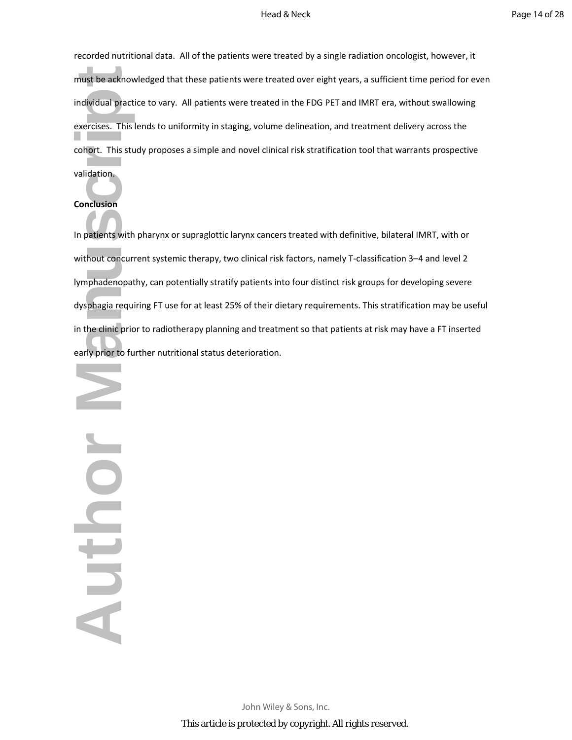recorded nutritional data. All of the patients were treated by a single radiation oncologist, however, it must be acknowledged that these patients were treated over eight years, a sufficient time period for even individual practice to vary. All patients were treated in the FDG PET and IMRT era, without swallowing exercises. This lends to uniformity in staging, volume delineation, and treatment delivery across the cohort. This study proposes a simple and novel clinical risk stratification tool that warrants prospective validation.

## **Conclusion**

In patients with pharynx or supraglottic larynx cancers treated with definitive, bilateral IMRT, with or without concurrent systemic therapy, two clinical risk factors, namely T-classification 3–4 and level 2 lymphadenopathy, can potentially stratify patients into four distinct risk groups for developing severe dysphagia requiring FT use for at least 25% of their dietary requirements. This stratification may be useful in the clinic prior to radiotherapy planning and treatment so that patients at risk may have a FT inserted early prior to further nutritional status deterioration.

must be acknowle<br>
individual practice<br>
exercises. This ler<br>
cohort. This study<br>
validation<br> **Conclusion**<br>
In patients with p<br>
without concurrer<br>
lymphadenopath<sub>)</sub><br>
dysphagia requirin<br>
in the clinic prior to furt<br>
early pri North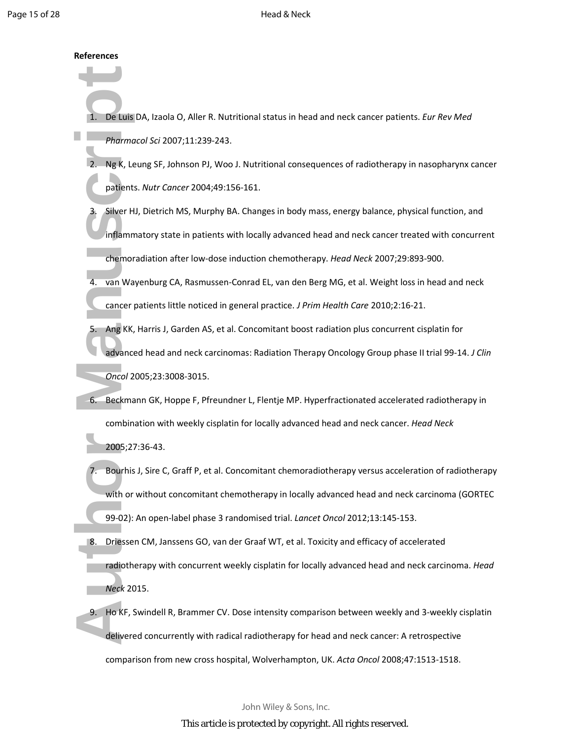### **References**

- 1. De Luis DA, Izaola O, Aller R. Nutritional status in head and neck cancer patients. *Eur Rev Med Pharmacol Sci* 2007;11:239-243.
- 2. Ng K, Leung SF, Johnson PJ, Woo J. Nutritional consequences of radiotherapy in nasopharynx cancer patients. *Nutr Cancer* 2004;49:156-161.
- Silver HJ, Dietrich MS, Murphy BA. Changes in body mass, energy balance, physical function, and inflammatory state in patients with locally advanced head and neck cancer treated with concurrent chemoradiation after low-dose induction chemotherapy. *Head Neck* 2007;29:893-900.
- 4. van Wayenburg CA, Rasmussen-Conrad EL, van den Berg MG, et al. Weight loss in head and neck cancer patients little noticed in general practice. *J Prim Health Care* 2010;2:16-21.
- 1. De Luis D,<br>
Pharmacc<br>
2. Ng K, Leu<br>
patients.<br>
3. Silver HJ,<br>
inflamma<br>
chemorac<br>
4. van Waye<br>
cancer pa<br>
5. Ang KK, H<br>
advanced<br> *Oncol* 200<br>
6. Beckmann<br>
combinat<br>
2005;27:3<br>
7. Bourhis J,<br>
with or w<br>
99-02): Al<br>
8. D 5. Ang KK, Harris J, Garden AS, et al. Concomitant boost radiation plus concurrent cisplatin for advanced head and neck carcinomas: Radiation Therapy Oncology Group phase II trial 99-14. *J Clin Oncol* 2005;23:3008-3015.
	- 6. Beckmann GK, Hoppe F, Pfreundner L, Flentje MP. Hyperfractionated accelerated radiotherapy in combination with weekly cisplatin for locally advanced head and neck cancer. *Head Neck*

2005;27:36-43.

- 7. Bourhis J, Sire C, Graff P, et al. Concomitant chemoradiotherapy versus acceleration of radiotherapy with or without concomitant chemotherapy in locally advanced head and neck carcinoma (GORTEC 99-02): An open-label phase 3 randomised trial. *Lancet Oncol* 2012;13:145-153.
- 8. Driessen CM, Janssens GO, van der Graaf WT, et al. Toxicity and efficacy of accelerated radiotherapy with concurrent weekly cisplatin for locally advanced head and neck carcinoma. *Head Neck* 2015.
- 9. Ho KF, Swindell R, Brammer CV. Dose intensity comparison between weekly and 3-weekly cisplatin delivered concurrently with radical radiotherapy for head and neck cancer: A retrospective comparison from new cross hospital, Wolverhampton, UK. *Acta Oncol* 2008;47:1513-1518.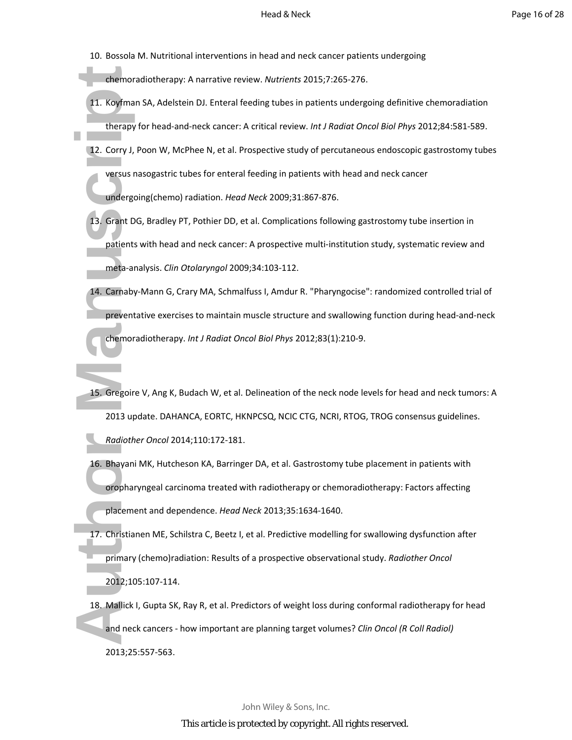10. Bossola M. Nutritional interventions in head and neck cancer patients undergoing

chemoradiotherapy: A narrative review. *Nutrients* 2015;7:265-276.

- 11. Koyfman SA, Adelstein DJ. Enteral feeding tubes in patients undergoing definitive chemoradiation therapy for head-and-neck cancer: A critical review. *Int J Radiat Oncol Biol Phys* 2012;84:581-589.
- 12. Corry J, Poon W, McPhee N, et al. Prospective study of percutaneous endoscopic gastrostomy tubes versus nasogastric tubes for enteral feeding in patients with head and neck cancer undergoing(chemo) radiation. *Head Neck* 2009;31:867-876.
- 13. Grant DG, Bradley PT, Pothier DD, et al. Complications following gastrostomy tube insertion in patients with head and neck cancer: A prospective multi-institution study, systematic review and meta-analysis. *Clin Otolaryngol* 2009;34:103-112.
- 14. Carnaby-Mann G, Crary MA, Schmalfuss I, Amdur R. "Pharyngocise": randomized controlled trial of preventative exercises to maintain muscle structure and swallowing function during head-and-neck chemoradiotherapy. *Int J Radiat Oncol Biol Phys* 2012;83(1):210-9.
- chemorac<br>
11. Koyfman<br>
therapy for the therapy for the therapy for the versus na<br>
undergoir<br>
13. Grant DG<sub>,</sub> patients v<br>
meta-ana<br>
14. Carnaby-f<br>
preventat<br>
chemorac<br>
15. Gregoire<br>
2013 upd<br>
Radiother<br>
16. Bhayani N<br>
oroph 15. Gregoire V, Ang K, Budach W, et al. Delineation of the neck node levels for head and neck tumors: A 2013 update. DAHANCA, EORTC, HKNPCSQ, NCIC CTG, NCRI, RTOG, TROG consensus guidelines. *Radiother Oncol* 2014;110:172-181.
	- 16. Bhayani MK, Hutcheson KA, Barringer DA, et al. Gastrostomy tube placement in patients with oropharyngeal carcinoma treated with radiotherapy or chemoradiotherapy: Factors affecting placement and dependence. *Head Neck* 2013;35:1634-1640.
	- 17. Christianen ME, Schilstra C, Beetz I, et al. Predictive modelling for swallowing dysfunction after primary (chemo)radiation: Results of a prospective observational study. *Radiother Oncol* 2012;105:107-114.
	- 18. Mallick I, Gupta SK, Ray R, et al. Predictors of weight loss during conformal radiotherapy for head and neck cancers - how important are planning target volumes? *Clin Oncol (R Coll Radiol)* 2013;25:557-563.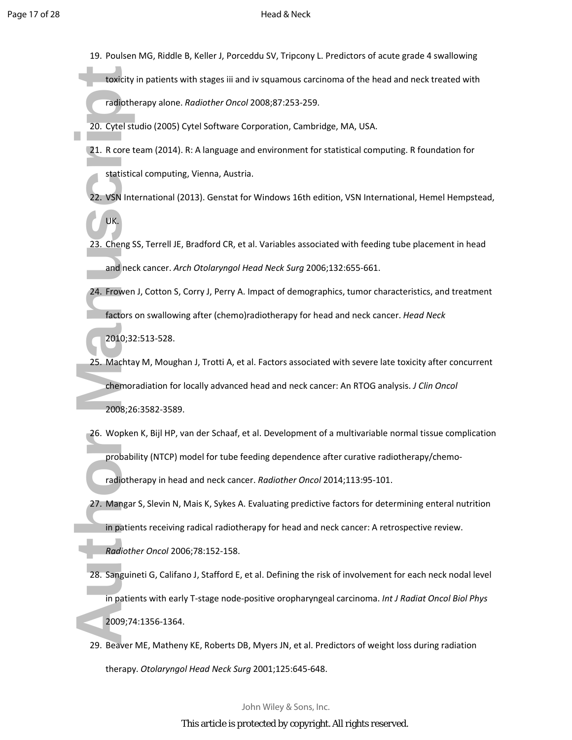- 19. Poulsen MG, Riddle B, Keller J, Porceddu SV, Tripcony L. Predictors of acute grade 4 swallowing
	- toxicity in patients with stages iii and iv squamous carcinoma of the head and neck treated with radiotherapy alone. *Radiother Oncol* 2008;87:253-259.
- 20. Cytel studio (2005) Cytel Software Corporation, Cambridge, MA, USA.
- 21. R core team (2014). R: A language and environment for statistical computing. R foundation for statistical computing, Vienna, Austria.
- 22. VSN International (2013). Genstat for Windows 16th edition, VSN International, Hemel Hempstead,
- 23. Cheng SS, Terrell JE, Bradford CR, et al. Variables associated with feeding tube placement in head and neck cancer. *Arch Otolaryngol Head Neck Surg* 2006;132:655-661.
- 24. Frowen J, Cotton S, Corry J, Perry A. Impact of demographics, tumor characteristics, and treatment factors on swallowing after (chemo)radiotherapy for head and neck cancer. *Head Neck*

2010;32:513-528.

UK.

- 25. Machtay M, Moughan J, Trotti A, et al. Factors associated with severe late toxicity after concurrent chemoradiation for locally advanced head and neck cancer: An RTOG analysis. *J Clin Oncol* 2008;26:3582-3589.
- 26. Wopken K, Bijl HP, van der Schaaf, et al. Development of a multivariable normal tissue complication probability (NTCP) model for tube feeding dependence after curative radiotherapy/chemo-

radiotherapy in head and neck cancer. *Radiother Oncol* 2014;113:95-101.

27. Mangar S, Slevin N, Mais K, Sykes A. Evaluating predictive factors for determining enteral nutrition in patients receiving radical radiotherapy for head and neck cancer: A retrospective review.

*Radiother Oncol* 2006;78:152-158.

- toxicity in<br>
radiother<br>
20. Cytel stuce<br>
21. R core tea<br>
statistical<br>
22. VSN Inter<br>
UK.<br>
23. Cheng SS,<br>
and neck<br>
24. Frowen J,<br>
factors or<br>
2010;32:5<br>
25. Machtay<br>
chemorac<br>
2008;26:3<br>
26. Wopken Probabilit<br>
radiother<br>
2 28. Sanguineti G, Califano J, Stafford E, et al. Defining the risk of involvement for each neck nodal level in patients with early T-stage node-positive oropharyngeal carcinoma. *Int J Radiat Oncol Biol Phys* 2009;74:1356-1364.
	- 29. Beaver ME, Matheny KE, Roberts DB, Myers JN, et al. Predictors of weight loss during radiation therapy. *Otolaryngol Head Neck Surg* 2001;125:645-648.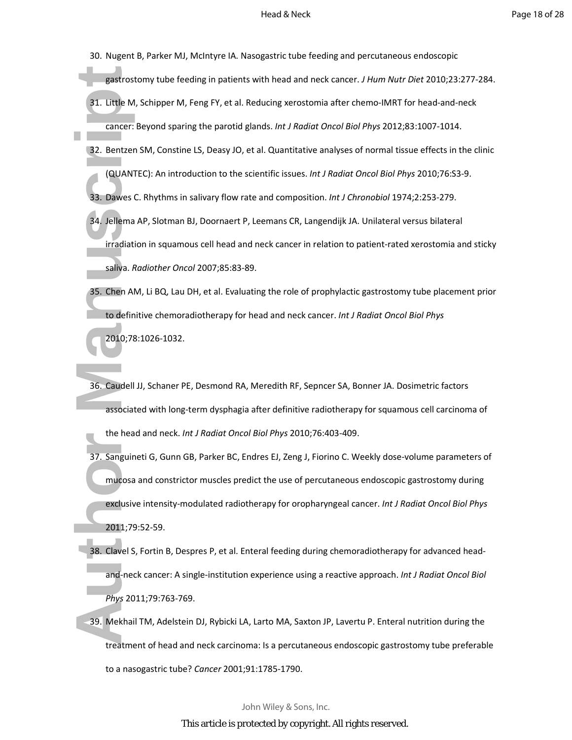- 30. Nugent B, Parker MJ, McIntyre IA. Nasogastric tube feeding and percutaneous endoscopic
	- gastrostomy tube feeding in patients with head and neck cancer. *J Hum Nutr Diet* 2010;23:277-284.
- 31. Little M, Schipper M, Feng FY, et al. Reducing xerostomia after chemo-IMRT for head-and-neck cancer: Beyond sparing the parotid glands. *Int J Radiat Oncol Biol Phys* 2012;83:1007-1014.
- 32. Bentzen SM, Constine LS, Deasy JO, et al. Quantitative analyses of normal tissue effects in the clinic (QUANTEC): An introduction to the scientific issues. *Int J Radiat Oncol Biol Phys* 2010;76:S3-9.
- 33. Dawes C. Rhythms in salivary flow rate and composition. *Int J Chronobiol* 1974;2:253-279.
- 34. Jellema AP, Slotman BJ, Doornaert P, Leemans CR, Langendijk JA. Unilateral versus bilateral irradiation in squamous cell head and neck cancer in relation to patient-rated xerostomia and sticky saliva. *Radiother Oncol* 2007;85:83-89.
- 35. Chen AM, Li BQ, Lau DH, et al. Evaluating the role of prophylactic gastrostomy tube placement prior to definitive chemoradiotherapy for head and neck cancer. *Int J Radiat Oncol Biol Phys* 2010;78:1026-1032.
- 36. Caudell JJ, Schaner PE, Desmond RA, Meredith RF, Sepncer SA, Bonner JA. Dosimetric factors associated with long-term dysphagia after definitive radiotherapy for squamous cell carcinoma of the head and neck. *Int J Radiat Oncol Biol Phys* 2010;76:403-409.
- gastrosto<br>
31. Little M, S<br>
cancer: B<br>
32. Bentzen S<br>
(QUANTE<br>
33. Dawes C.<br>
34. Jellema A<br>
irradiation<br>
saliva. Ra<br>
35. Chen AM,<br>
to definiti<br>
2010;78:1<br>
36. Caudell JJ<br>
associate<br>
the head<br>
37. Sanguinet<br>
mucosa a<br>
exclu 37. Sanguineti G, Gunn GB, Parker BC, Endres EJ, Zeng J, Fiorino C. Weekly dose-volume parameters of mucosa and constrictor muscles predict the use of percutaneous endoscopic gastrostomy during exclusive intensity-modulated radiotherapy for oropharyngeal cancer. *Int J Radiat Oncol Biol Phys* 2011;79:52-59.
	- 38. Clavel S, Fortin B, Despres P, et al. Enteral feeding during chemoradiotherapy for advanced headand-neck cancer: A single-institution experience using a reactive approach. *Int J Radiat Oncol Biol Phys* 2011;79:763-769.
	- 39. Mekhail TM, Adelstein DJ, Rybicki LA, Larto MA, Saxton JP, Lavertu P. Enteral nutrition during the treatment of head and neck carcinoma: Is a percutaneous endoscopic gastrostomy tube preferable to a nasogastric tube? *Cancer* 2001;91:1785-1790.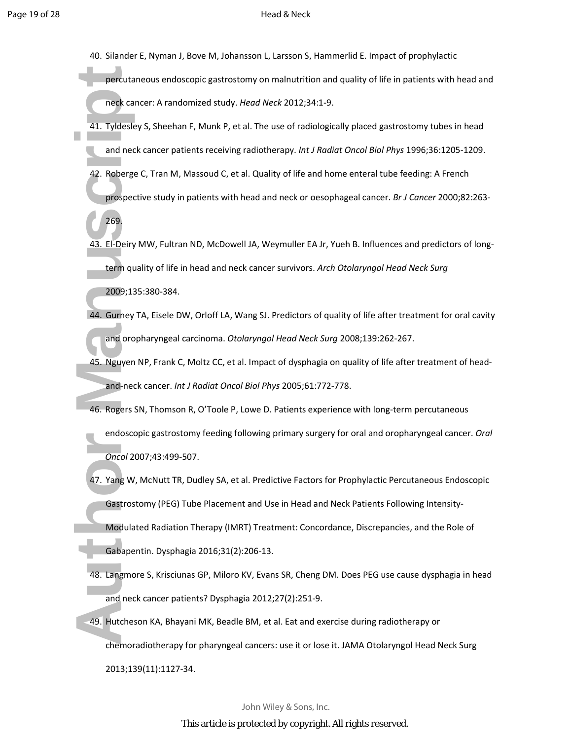- 40. Silander E, Nyman J, Bove M, Johansson L, Larsson S, Hammerlid E. Impact of prophylactic
	- percutaneous endoscopic gastrostomy on malnutrition and quality of life in patients with head and neck cancer: A randomized study. *Head Neck* 2012;34:1-9.
- 41. Tyldesley S, Sheehan F, Munk P, et al. The use of radiologically placed gastrostomy tubes in head and neck cancer patients receiving radiotherapy. *Int J Radiat Oncol Biol Phys* 1996;36:1205-1209.
- 42. Roberge C, Tran M, Massoud C, et al. Quality of life and home enteral tube feeding: A French prospective study in patients with head and neck or oesophageal cancer. *Br J Cancer* 2000;82:263-
	- 269.
- 43. El-Deiry MW, Fultran ND, McDowell JA, Weymuller EA Jr, Yueh B. Influences and predictors of longterm quality of life in head and neck cancer survivors. *Arch Otolaryngol Head Neck Surg* 2009;135:380-384.
- 44. Gurney TA, Eisele DW, Orloff LA, Wang SJ. Predictors of quality of life after treatment for oral cavity and oropharyngeal carcinoma. *Otolaryngol Head Neck Surg* 2008;139:262-267.
- 45. Nguyen NP, Frank C, Moltz CC, et al. Impact of dysphagia on quality of life after treatment of headand-neck cancer. *Int J Radiat Oncol Biol Phys* 2005;61:772-778.
- 46. Rogers SN, Thomson R, O'Toole P, Lowe D. Patients experience with long-term percutaneous endoscopic gastrostomy feeding following primary surgery for oral and oropharyngeal cancer. *Oral Oncol* 2007;43:499-507.
- percutane<br>
neck cance<br>
41. Tyldesley<br>
and neck<br>
42. Roberge (<br>
prospecti<br>
269.<br>
43. El-Deiry M<br>
term qual<br>
2009;135<br>
44. Gurney T*r*<br>
and oropl<br>
45. Nguyen N<br>
and-neck<br>
46. Rogers SM<br>
endoscop<br> *Oncol* 200<br>
47. Yang W, M<br> 47. Yang W, McNutt TR, Dudley SA, et al. Predictive Factors for Prophylactic Percutaneous Endoscopic Gastrostomy (PEG) Tube Placement and Use in Head and Neck Patients Following Intensity-Modulated Radiation Therapy (IMRT) Treatment: Concordance, Discrepancies, and the Role of Gabapentin. Dysphagia 2016;31(2):206-13.
	- 48. Langmore S, Krisciunas GP, Miloro KV, Evans SR, Cheng DM. Does PEG use cause dysphagia in head and neck cancer patients? Dysphagia 2012;27(2):251-9.
	- 49. Hutcheson KA, Bhayani MK, Beadle BM, et al. Eat and exercise during radiotherapy or chemoradiotherapy for pharyngeal cancers: use it or lose it. JAMA Otolaryngol Head Neck Surg 2013;139(11):1127-34.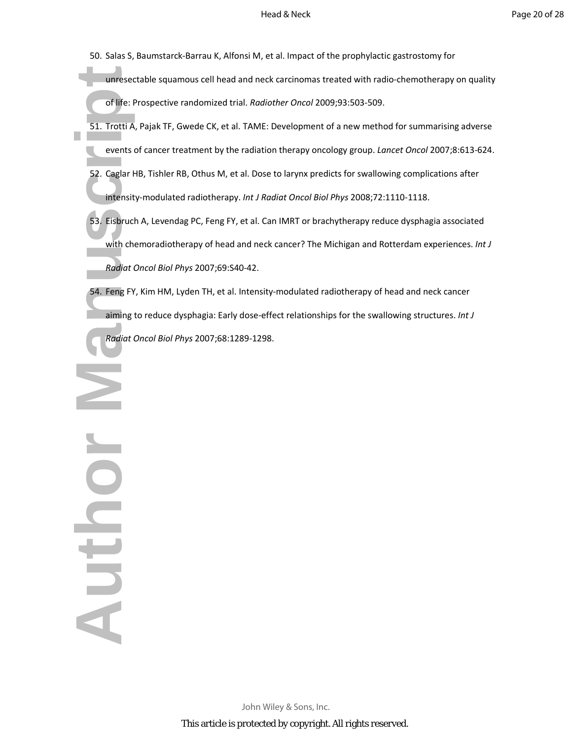- 50. Salas S, Baumstarck-Barrau K, Alfonsi M, et al. Impact of the prophylactic gastrostomy for
	- unresectable squamous cell head and neck carcinomas treated with radio-chemotherapy on quality of life: Prospective randomized trial. *Radiother Oncol* 2009;93:503-509.
- 51. Trotti A, Pajak TF, Gwede CK, et al. TAME: Development of a new method for summarising adverse events of cancer treatment by the radiation therapy oncology group. *Lancet Oncol* 2007;8:613-624.
- 52. Caglar HB, Tishler RB, Othus M, et al. Dose to larynx predicts for swallowing complications after intensity-modulated radiotherapy. *Int J Radiat Oncol Biol Phys* 2008;72:1110-1118.
- 53. Eisbruch A, Levendag PC, Feng FY, et al. Can IMRT or brachytherapy reduce dysphagia associated with chemoradiotherapy of head and neck cancer? The Michigan and Rotterdam experiences. *Int J Radiat Oncol Biol Phys* 2007;69:S40-42.
- 54. Feng FY, Kim HM, Lyden TH, et al. Intensity-modulated radiotherapy of head and neck cancer aiming to reduce dysphagia: Early dose-effect relationships for the swallowing structures. *Int J Radiat Oncol Biol Phys* 2007;68:1289-1298.

unresecta<br>
of life: Pro<br>
51. Trotti A, F<br>
events of<br>
52. Caglar HB<br>
intensity-<br>
53. Eisbruch /<br>
with chen<br>
Radiat Or.<br>
54. Feng FY, K<br>
aiming to<br>
Radiat Or. N JOHN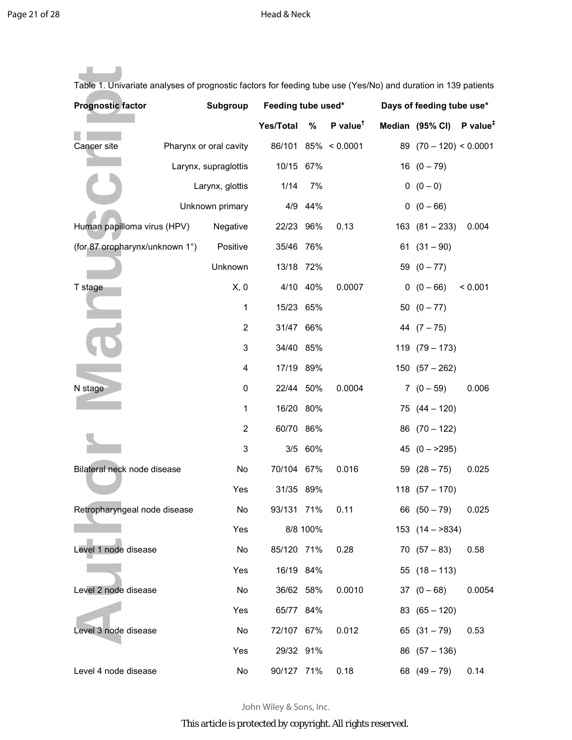ш

| Table 1. Univariate analyses of prognostic factors for feeding tube use (Yes/No) and duration in 139 patients |  |                        |                    |          |                                     |                           |                                                 |         |
|---------------------------------------------------------------------------------------------------------------|--|------------------------|--------------------|----------|-------------------------------------|---------------------------|-------------------------------------------------|---------|
| <b>Prognostic factor</b><br>Subgroup                                                                          |  |                        | Feeding tube used* |          |                                     | Days of feeding tube use* |                                                 |         |
|                                                                                                               |  |                        | <b>Yes/Total</b>   | $\%$     | $P$ value <sup><math>†</math></sup> |                           | Median $(95\% \text{ Cl})$ P value <sup>#</sup> |         |
| Cancer site                                                                                                   |  | Pharynx or oral cavity |                    |          | 86/101 85% < 0.0001                 |                           | 89 $(70 - 120) < 0.0001$                        |         |
|                                                                                                               |  | Larynx, supraglottis   | 10/15 67%          |          |                                     |                           | $16(0-79)$                                      |         |
|                                                                                                               |  | Larynx, glottis        | 1/14               | 7%       |                                     |                           | $0 (0 - 0)$                                     |         |
|                                                                                                               |  | Unknown primary        |                    | 4/9 44%  |                                     |                           | $0(0 - 66)$                                     |         |
| Human papilloma virus (HPV)                                                                                   |  | Negative               | 22/23 96%          |          | 0.13                                |                           | $163 (81 - 233)$                                | 0.004   |
| (for 87 oropharynx/unknown 1°)                                                                                |  | Positive               | 35/46 76%          |          |                                     |                           | $61(31-90)$                                     |         |
|                                                                                                               |  | Unknown                | 13/18 72%          |          |                                     |                           | 59 $(0 - 77)$                                   |         |
| T stage                                                                                                       |  | X, 0                   |                    | 4/10 40% | 0.0007                              |                           | $0(0-66)$                                       | < 0.001 |
|                                                                                                               |  | 1                      | 15/23 65%          |          |                                     |                           | $50(0 - 77)$                                    |         |
|                                                                                                               |  | 2                      | 31/47 66%          |          |                                     |                           | 44 $(7 - 75)$                                   |         |
|                                                                                                               |  | 3                      | 34/40 85%          |          |                                     |                           | $119(79-173)$                                   |         |
|                                                                                                               |  | 4                      | 17/19 89%          |          |                                     |                           | $150(57 - 262)$                                 |         |
| N stage                                                                                                       |  | 0                      | 22/44 50%          |          | 0.0004                              |                           | $7(0-59)$                                       | 0.006   |
|                                                                                                               |  | 1                      | 16/20 80%          |          |                                     |                           | $75(44 - 120)$                                  |         |
|                                                                                                               |  | 2                      | 60/70 86%          |          |                                     |                           | 86 $(70 - 122)$                                 |         |
|                                                                                                               |  | 3                      |                    | 3/5 60%  |                                     |                           | 45 $(0 - >295)$                                 |         |
| Bilateral neck node disease                                                                                   |  | No                     | 70/104 67%         |          | 0.016                               |                           | 59 $(28 - 75)$                                  | 0.025   |
|                                                                                                               |  | Yes                    | 31/35 89%          |          |                                     |                           | $118(57 - 170)$                                 |         |
| Retropharyngeal node disease                                                                                  |  | No                     | 93/131 71%         |          | 0.11                                |                           | 66 $(50 - 79)$                                  | 0.025   |
|                                                                                                               |  | Yes                    |                    | 8/8 100% |                                     |                           | $153$ $(14 - 834)$                              |         |
| Level 1 node disease                                                                                          |  | No                     | 85/120 71%         |          | 0.28                                |                           | $70(57-83)$                                     | 0.58    |
|                                                                                                               |  | Yes                    | 16/19 84%          |          |                                     |                           | $55(18 - 113)$                                  |         |
| Level 2 node disease                                                                                          |  | No                     | 36/62 58%          |          | 0.0010                              |                           | $37(0-68)$                                      | 0.0054  |
|                                                                                                               |  | Yes                    | 65/77 84%          |          |                                     |                           | $83(65-120)$                                    |         |
| Level 3 node disease                                                                                          |  | No                     | 72/107 67%         |          | 0.012                               |                           | $65(31-79)$                                     | 0.53    |
|                                                                                                               |  | Yes                    | 29/32 91%          |          |                                     |                           | $86(57-136)$                                    |         |
| Level 4 node disease                                                                                          |  | No                     | 90/127 71%         |          | 0.18                                |                           | 68 $(49 - 79)$                                  | 0.14    |

John Wiley & Sons, Inc.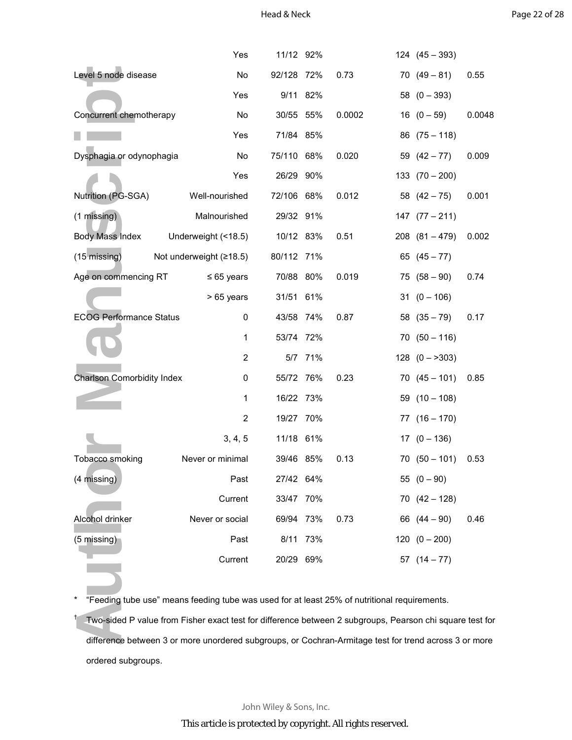|                                   | Yes                                                                                                      | 11/12 92%  |         |        | $124 (45 - 393)$  |        |
|-----------------------------------|----------------------------------------------------------------------------------------------------------|------------|---------|--------|-------------------|--------|
| Level 5 node disease              |                                                                                                          | 92/128 72% |         | 0.73   | $70(49-81)$       | 0.55   |
|                                   | Yes                                                                                                      | 9/11 82%   |         |        | 58 $(0 - 393)$    |        |
| Concurrent chemotherapy           | No                                                                                                       | 30/55 55%  |         | 0.0002 | $16(0-59)$        | 0.0048 |
|                                   | Yes                                                                                                      | 71/84 85%  |         |        | $86(75-118)$      |        |
| Dysphagia or odynophagia          | No                                                                                                       | 75/110 68% |         | 0.020  | 59 $(42-77)$      | 0.009  |
|                                   | Yes                                                                                                      | 26/29 90%  |         |        | $133(70-200)$     |        |
| Nutrition (PG-SGA)                | Well-nourished                                                                                           | 72/106 68% |         | 0.012  | 58 $(42 - 75)$    | 0.001  |
| (1 missing)                       | Malnourished                                                                                             | 29/32 91%  |         |        | $147 (77 - 211)$  |        |
| <b>Body Mass Index</b>            | Underweight (<18.5)                                                                                      | 10/12 83%  |         | 0.51   | $208(81 - 479)$   | 0.002  |
| (15 missing)                      | Not underweight $(≥18.5)$                                                                                | 80/112 71% |         |        | 65 $(45 - 77)$    |        |
| Age on commencing RT              | $\leq 65$ years                                                                                          | 70/88 80%  |         | 0.019  | $75(58-90)$       | 0.74   |
|                                   | > 65 years                                                                                               | 31/51 61%  |         |        | $31 (0 - 106)$    |        |
| <b>ECOG Performance Status</b>    | 0                                                                                                        | 43/58 74%  |         | 0.87   | 58 $(35 - 79)$    | 0.17   |
|                                   | 1                                                                                                        | 53/74 72%  |         |        | $70(50 - 116)$    |        |
|                                   | 2                                                                                                        |            | 5/7 71% |        | $128$ $(0 - 303)$ |        |
| <b>Charlson Comorbidity Index</b> | 0                                                                                                        | 55/72 76%  |         | 0.23   | $70(45 - 101)$    | 0.85   |
|                                   | 1                                                                                                        | 16/22 73%  |         |        | $59(10-108)$      |        |
|                                   | $\overline{2}$                                                                                           | 19/27 70%  |         |        | $77(16-170)$      |        |
|                                   | 3, 4, 5                                                                                                  | 11/18 61%  |         |        | $17(0 - 136)$     |        |
| Tobacco smoking                   | Never or minimal                                                                                         | 39/46 85%  |         | 0.13   | $70(50 - 101)$    | 0.53   |
| (4 missing)                       | Past                                                                                                     | 27/42 64%  |         |        | $55(0-90)$        |        |
|                                   | Current                                                                                                  | 33/47 70%  |         |        | $70(42 - 128)$    |        |
| Alcohol drinker                   | Never or social                                                                                          | 69/94 73%  |         | 0.73   | 66 $(44 - 90)$    | 0.46   |
| $(5 \text{ missing})$             | Past                                                                                                     | 8/11 73%   |         |        | $120(0 - 200)$    |        |
|                                   | Current                                                                                                  | 20/29 69%  |         |        | 57 $(14 - 77)$    |        |
|                                   |                                                                                                          |            |         |        |                   |        |
|                                   | "Feeding tube use" means feeding tube was used for at least 25% of nutritional requirements.             |            |         |        |                   |        |
|                                   | Two-sided P value from Fisher exact test for difference between 2 subgroups, Pearson chi square test for |            |         |        |                   |        |
|                                   | difference between 3 or more unordered subgroups, or Cochran-Armitage test for trend across 3 or more    |            |         |        |                   |        |

† Two-sided P value from Fisher exact test for difference between 2 subgroups, Pearson chi square test for difference between 3 or more unordered subgroups, or Cochran-Armitage test for trend across 3 or more ordered subgroups.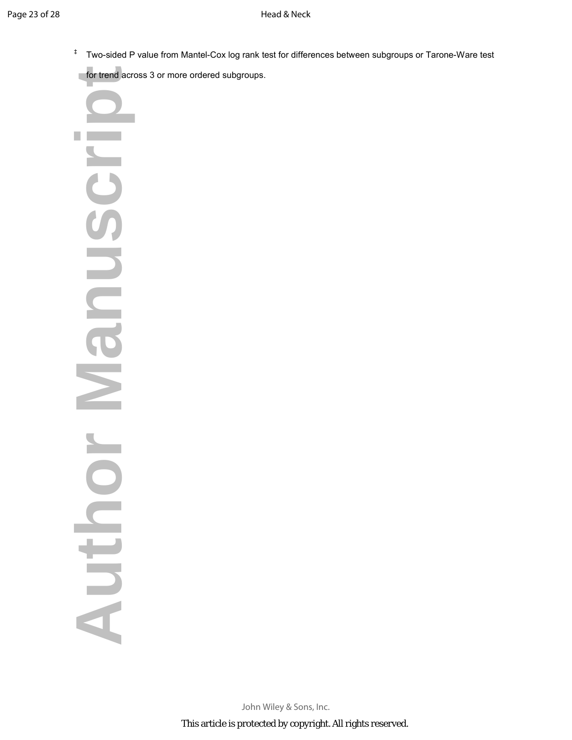‡ Two-sided P value from Mantel-Cox log rank test for differences between subgroups or Tarone-Ware test

for trend across 3 or more ordered subgroups.

**AUTHOR MANUSCRIPT** anusch E Nouthor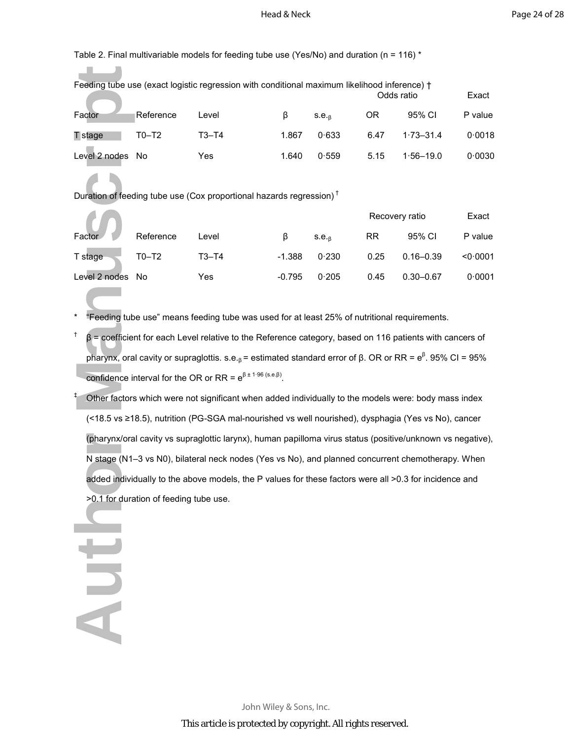Table 2. Final multivariable models for feeding tube use (Yes/No) and duration ( $n = 116$ ) \*

| Feeding tube use (exact logistic regression with conditional maximum likelihood inference) +<br>Odds ratio |           |           |       |                   |      |               |         |  |
|------------------------------------------------------------------------------------------------------------|-----------|-----------|-------|-------------------|------|---------------|---------|--|
| Factor                                                                                                     | Reference | Level     | ß     | S.E. <sub>R</sub> | ΟR   | 95% CI        | P value |  |
| T stage                                                                                                    | $T0-T2$   | $T3 - T4$ | 1.867 | 0.633             | 6.47 | $1.73 - 31.4$ | 0.0018  |  |
| Level 2 nodes                                                                                              | Nο        | Yes       | 1.640 | 0.559             | 5.15 | $1.56 - 19.0$ | 0.0030  |  |

Duration of feeding tube use (Cox proportional hazards regression) †

**Aut** 

|               |           |       |          |                   | Recovery ratio |               | Exact    |
|---------------|-----------|-------|----------|-------------------|----------------|---------------|----------|
| Factor        | Reference | Level | ß        | S.E. <sub>R</sub> | RR             | 95% CI        | P value  |
| T stage       | $T0-T2$   | T3–T4 | $-1.388$ | 0.230             | 0.25           | $0.16 - 0.39$ | < 0.0001 |
| Level 2 nodes | No        | Yes   | $-0.795$ | 0.205             | 0.45           | $0.30 - 0.67$ | 0.0001   |

- \* "Feeding tube use" means feeding tube was used for at least 25% of nutritional requirements.
- †  $β =$  coefficient for each Level relative to the Reference category, based on 116 patients with cancers of pharynx, oral cavity or supraglottis. s.e.<sub>β</sub> = estimated standard error of β. OR or RR =  $e^{\beta}$ . 95% CI = 95% confidence interval for the OR or RR =  $e^{\beta \pm 1.96 \text{(s.e.} \beta)}$ .
- Feeding tube use<br>
Factor<br>
T stage<br>
Level 2 nodes<br>
N<br>
Duration of feedin<br>
Factor<br>
T stage<br>
Level 2 nodes<br>
N<br>
<sup>+</sup> "Feeding tube<br>
<sup>+</sup> Peeding tube<br>
<br>
+ Other factors v<br>
(<18.5 vs ≥18.<br>
(pharynx/oral c<br>
N stage (N1-3<br>
added in ‡ Other factors which were not significant when added individually to the models were: body mass index (<18.5 vs ≥18.5), nutrition (PG-SGA mal-nourished vs well nourished), dysphagia (Yes vs No), cancer (pharynx/oral cavity vs supraglottic larynx), human papilloma virus status (positive/unknown vs negative), N stage (N1–3 vs N0), bilateral neck nodes (Yes vs No), and planned concurrent chemotherapy. When added individually to the above models, the P values for these factors were all >0.3 for incidence and >0.1 for duration of feeding tube use.

John Wiley & Sons, Inc. This article is protected by copyright. All rights reserved.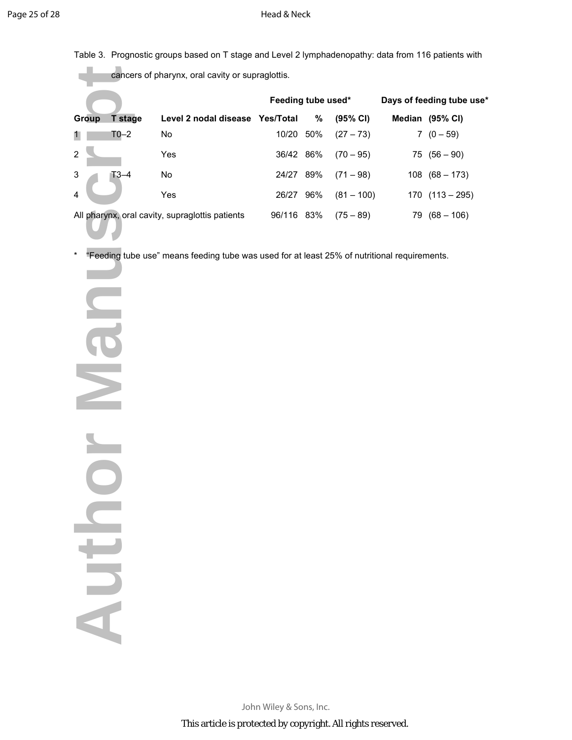Table 3. Prognostic groups based on T stage and Level 2 lymphadenopathy: data from 116 patients with

cancers of pharynx, oral cavity or supraglottis.

|                |          |                                                 | Feeding tube used* |     |                     | Days of feeding tube use* |                     |  |
|----------------|----------|-------------------------------------------------|--------------------|-----|---------------------|---------------------------|---------------------|--|
| <b>Group</b>   | T stage  | Level 2 nodal disease Yes/Total                 |                    | %   | $(95\% \text{ Cl})$ |                           | Median (95% CI)     |  |
| 1              | $T0-2$   | No                                              | 10/20 50%          |     | $(27 - 73)$         |                           | $7(0-59)$           |  |
| $2^{\circ}$    |          | Yes                                             | 36/42 86%          |     | $(70 - 95)$         |                           | $75(56-90)$         |  |
| $\mathbf{3}$   | $T3 - 4$ | No                                              | 24/27              | 89% | $(71 - 98)$         |                           | $108(68 - 173)$     |  |
| $\overline{4}$ |          | Yes                                             | 26/27              | 96% | $(81 - 100)$        |                           | $170$ $(113 - 295)$ |  |
|                |          | All pharynx, oral cavity, supraglottis patients | 96/116             | 83% | $(75 - 89)$         | 79                        | $(68 - 106)$        |  |

\* "Feeding tube use" means feeding tube was used for at least 25% of nutritional requirements.

Group Tstage<br>
1 T0–2<br>
4 All pharynx, oral c<br>
\* "Feeding tube<br> **COMPLESS DIB** NICIPIE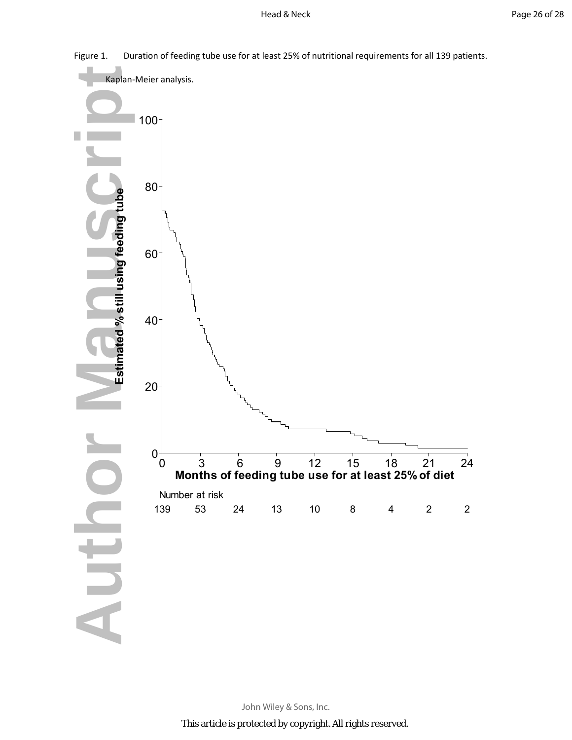

Figure 1. Duration of feeding tube use for at least 25% of nutritional requirements for all 139 patients.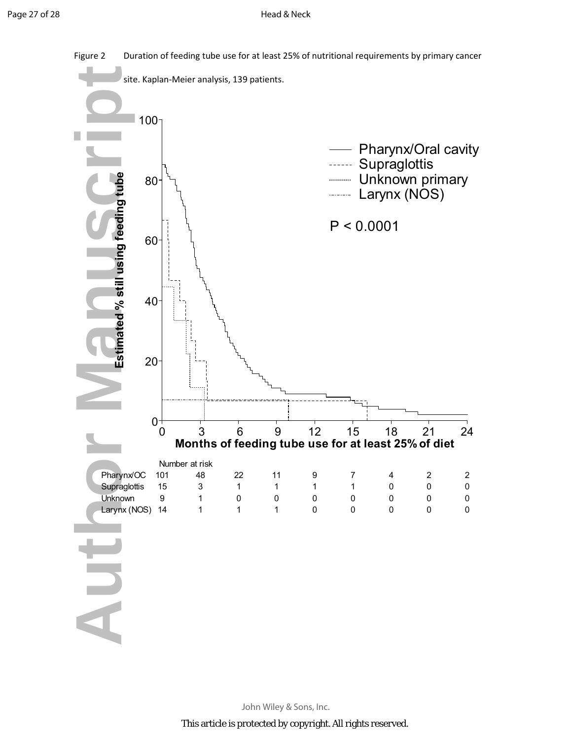

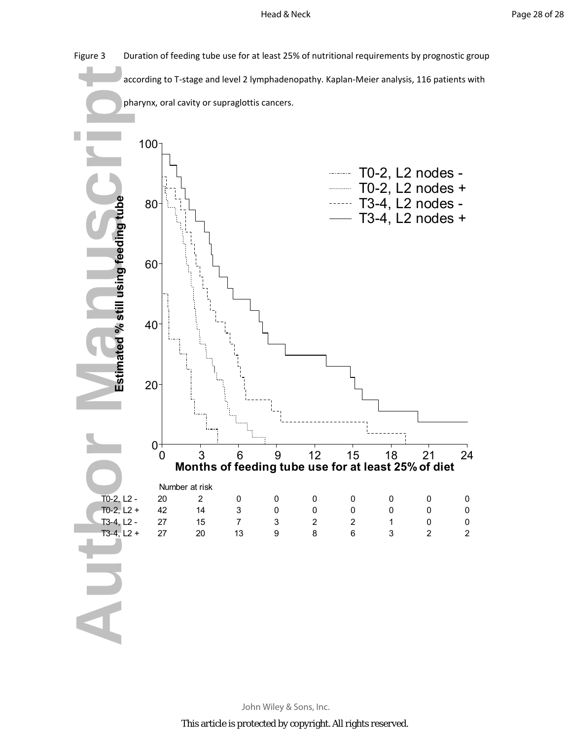

John Wiley & Sons, Inc.